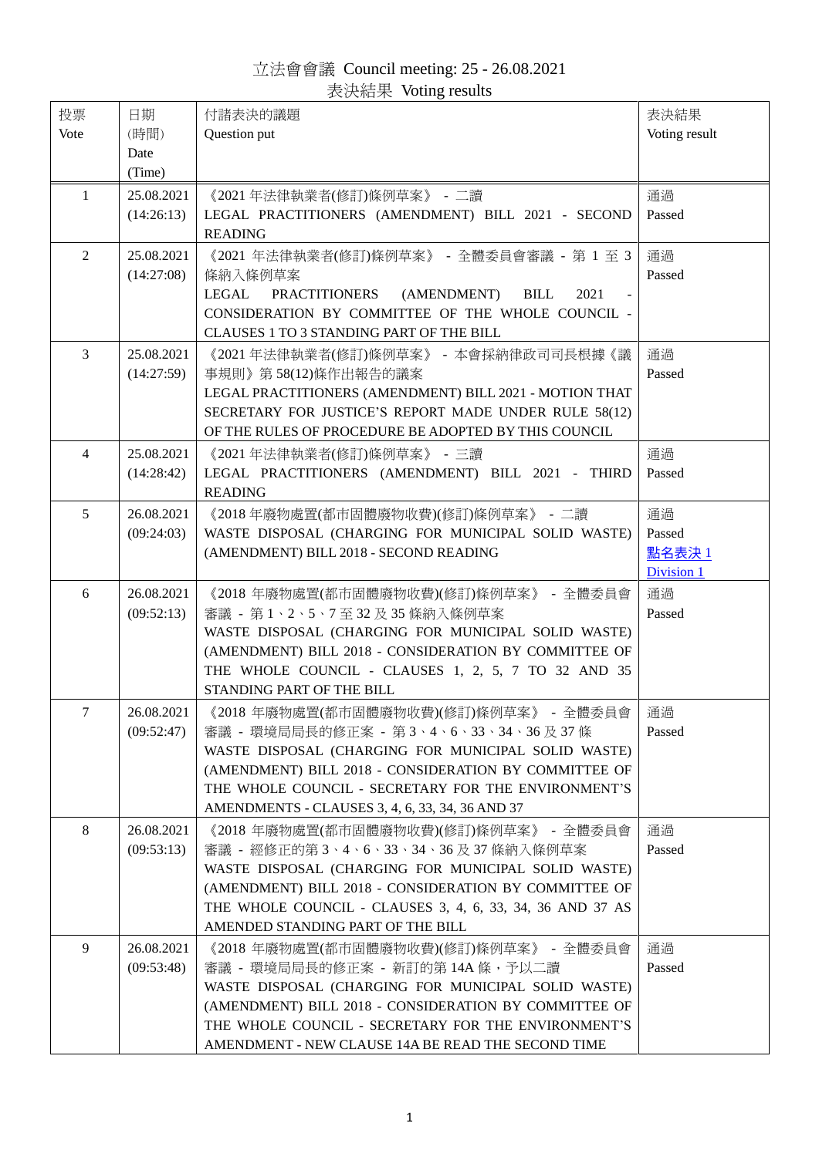立法會會議 Council meeting: 25 - 26.08.2021 表決結果 Voting results

<span id="page-0-0"></span>

| 投票             | 日期           | 付諸表決的議題                                                                                                            | 表決結果          |
|----------------|--------------|--------------------------------------------------------------------------------------------------------------------|---------------|
| Vote           | (時間)<br>Date | Question put                                                                                                       | Voting result |
|                | (Time)       |                                                                                                                    |               |
| 1              | 25.08.2021   | 《2021年法律執業者(修訂)條例草案》 - 二讀                                                                                          | 通過            |
|                | (14:26:13)   | LEGAL PRACTITIONERS (AMENDMENT) BILL 2021 - SECOND                                                                 | Passed        |
|                |              | <b>READING</b>                                                                                                     |               |
| $\overline{2}$ | 25.08.2021   | 《2021 年法律執業者(修訂)條例草案》 - 全體委員會審議 - 第 1 至 3                                                                          | 通過            |
|                | (14:27:08)   | 條納入條例草案                                                                                                            | Passed        |
|                |              | LEGAL<br>PRACTITIONERS<br>(AMENDMENT)<br>2021<br><b>BILL</b><br>CONSIDERATION BY COMMITTEE OF THE WHOLE COUNCIL -  |               |
|                |              | CLAUSES 1 TO 3 STANDING PART OF THE BILL                                                                           |               |
| 3              | 25.08.2021   | 《2021 年法律執業者(修訂)條例草案》 - 本會採納律政司司長根據《議                                                                              | 通過            |
|                | (14:27:59)   | 事規則》第58(12)條作出報告的議案                                                                                                | Passed        |
|                |              | LEGAL PRACTITIONERS (AMENDMENT) BILL 2021 - MOTION THAT                                                            |               |
|                |              | SECRETARY FOR JUSTICE'S REPORT MADE UNDER RULE 58(12)                                                              |               |
| $\overline{4}$ | 25.08.2021   | OF THE RULES OF PROCEDURE BE ADOPTED BY THIS COUNCIL<br>《2021 年法律執業者(修訂)條例草案》 - 三讀                                 | 通過            |
|                | (14:28:42)   | LEGAL PRACTITIONERS (AMENDMENT) BILL 2021 - THIRD                                                                  | Passed        |
|                |              | <b>READING</b>                                                                                                     |               |
| 5              | 26.08.2021   | 《2018年廢物處置(都市固體廢物收費)(修訂)條例草案》 - 二讀                                                                                 | 通過            |
|                | (09:24:03)   | WASTE DISPOSAL (CHARGING FOR MUNICIPAL SOLID WASTE)                                                                | Passed        |
|                |              | (AMENDMENT) BILL 2018 - SECOND READING                                                                             | 點名表決1         |
|                | 26.08.2021   |                                                                                                                    | Division 1    |
| 6              | (09:52:13)   | 《2018 年廢物處置(都市固體廢物收費)(修訂)條例草案》 - 全體委員會<br>審議 - 第1、2、5、7至32及35條納入條例草案                                               | 通過<br>Passed  |
|                |              | WASTE DISPOSAL (CHARGING FOR MUNICIPAL SOLID WASTE)                                                                |               |
|                |              | (AMENDMENT) BILL 2018 - CONSIDERATION BY COMMITTEE OF                                                              |               |
|                |              | THE WHOLE COUNCIL - CLAUSES 1, 2, 5, 7 TO 32 AND 35                                                                |               |
|                |              | STANDING PART OF THE BILL                                                                                          |               |
| 7              | 26.08.2021   | 《2018 年廢物處置(都市固體廢物收費)(修訂)條例草案》 - 全體委員會                                                                             | 通過            |
|                | (09:52:47)   | 審議 - 環境局局長的修正案 - 第3、4、6、33、34、36及37條                                                                               | Passed        |
|                |              | WASTE DISPOSAL (CHARGING FOR MUNICIPAL SOLID WASTE)<br>(AMENDMENT) BILL 2018 - CONSIDERATION BY COMMITTEE OF       |               |
|                |              | THE WHOLE COUNCIL - SECRETARY FOR THE ENVIRONMENT'S                                                                |               |
|                |              | AMENDMENTS - CLAUSES 3, 4, 6, 33, 34, 36 AND 37                                                                    |               |
| 8              | 26.08.2021   | 《2018年廢物處置(都市固體廢物收費)(修訂)條例草案》 - 全體委員會                                                                              | 通過            |
|                | (09:53:13)   | 審議 - 經修正的第3、4、6、33、34、36及37條納入條例草案                                                                                 | Passed        |
|                |              | WASTE DISPOSAL (CHARGING FOR MUNICIPAL SOLID WASTE)                                                                |               |
|                |              | (AMENDMENT) BILL 2018 - CONSIDERATION BY COMMITTEE OF<br>THE WHOLE COUNCIL - CLAUSES 3, 4, 6, 33, 34, 36 AND 37 AS |               |
|                |              | AMENDED STANDING PART OF THE BILL                                                                                  |               |
| 9              | 26.08.2021   | 《2018 年廢物處置(都市固體廢物收費)(修訂)條例草案》 - 全體委員會                                                                             | 通過            |
|                | (09:53:48)   | 審議 - 環境局局長的修正案 - 新訂的第 14A 條,予以二讀                                                                                   | Passed        |
|                |              | WASTE DISPOSAL (CHARGING FOR MUNICIPAL SOLID WASTE)                                                                |               |
|                |              | (AMENDMENT) BILL 2018 - CONSIDERATION BY COMMITTEE OF                                                              |               |
|                |              | THE WHOLE COUNCIL - SECRETARY FOR THE ENVIRONMENT'S<br>AMENDMENT - NEW CLAUSE 14A BE READ THE SECOND TIME          |               |
|                |              |                                                                                                                    |               |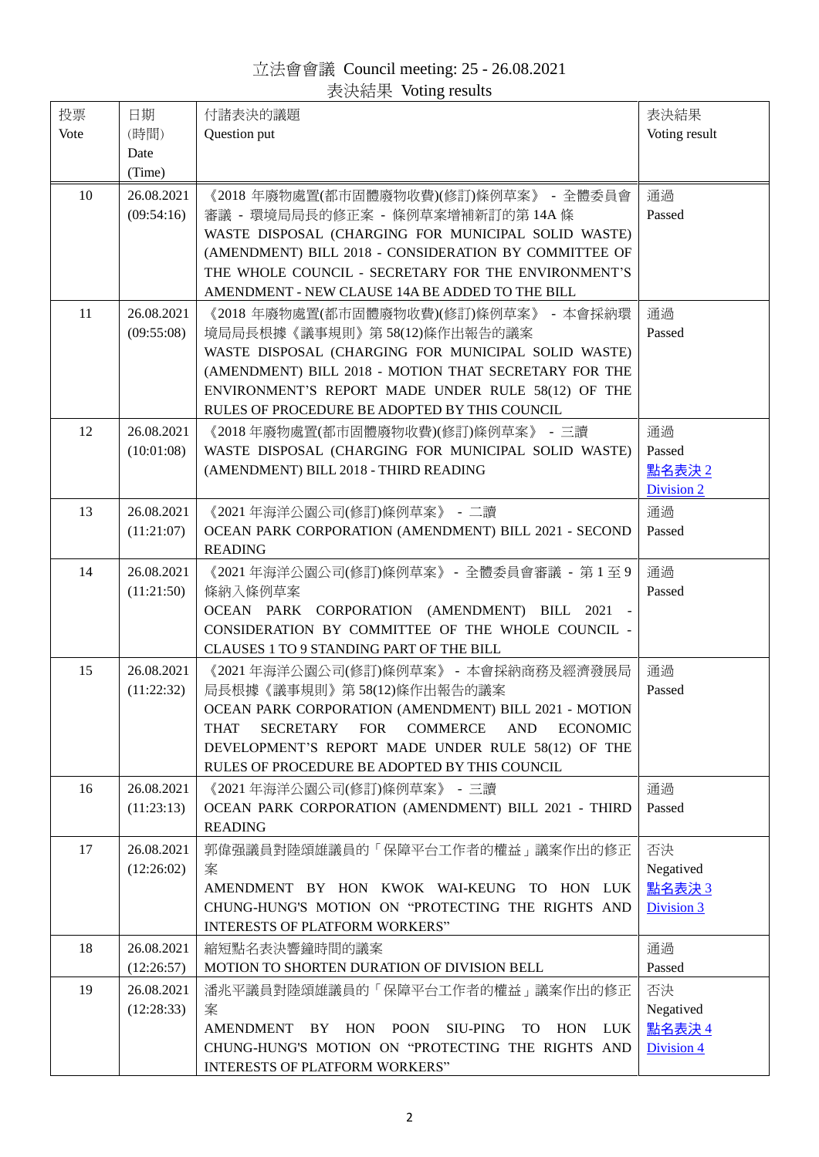立法會會議 Council meeting: 25 - 26.08.2021 表決結果 Voting results

<span id="page-1-0"></span>

| 投票<br>Vote | 日期<br>(時間)               | 付諸表決的議題<br>Question put                                                                                                                                                                                                                                                                                                                 | 表決結果<br>Voting result                  |
|------------|--------------------------|-----------------------------------------------------------------------------------------------------------------------------------------------------------------------------------------------------------------------------------------------------------------------------------------------------------------------------------------|----------------------------------------|
|            | Date<br>(Time)           |                                                                                                                                                                                                                                                                                                                                         |                                        |
| 10         | 26.08.2021<br>(09:54:16) | 《2018年廢物處置(都市固體廢物收費)(修訂)條例草案》 - 全體委員會<br>審議 - 環境局局長的修正案 - 條例草案增補新訂的第 14A 條<br>WASTE DISPOSAL (CHARGING FOR MUNICIPAL SOLID WASTE)<br>(AMENDMENT) BILL 2018 - CONSIDERATION BY COMMITTEE OF<br>THE WHOLE COUNCIL - SECRETARY FOR THE ENVIRONMENT'S<br>AMENDMENT - NEW CLAUSE 14A BE ADDED TO THE BILL                                    | 通過<br>Passed                           |
| 11         | 26.08.2021<br>(09:55:08) | 《2018 年廢物處置(都市固體廢物收費)(修訂)條例草案》 - 本會採納環<br>境局局長根據《議事規則》第58(12)條作出報告的議案<br>WASTE DISPOSAL (CHARGING FOR MUNICIPAL SOLID WASTE)<br>(AMENDMENT) BILL 2018 - MOTION THAT SECRETARY FOR THE<br>ENVIRONMENT'S REPORT MADE UNDER RULE 58(12) OF THE<br>RULES OF PROCEDURE BE ADOPTED BY THIS COUNCIL                                            | 通過<br>Passed                           |
| 12         | 26.08.2021<br>(10:01:08) | 《2018 年廢物處置(都市固體廢物收費)(修訂)條例草案》 - 三讀<br>WASTE DISPOSAL (CHARGING FOR MUNICIPAL SOLID WASTE)<br>(AMENDMENT) BILL 2018 - THIRD READING                                                                                                                                                                                                     | 通過<br>Passed<br>點名表決 2<br>Division 2   |
| 13         | 26.08.2021<br>(11:21:07) | 《2021 年海洋公園公司(修訂)條例草案》 - 二讀<br>OCEAN PARK CORPORATION (AMENDMENT) BILL 2021 - SECOND<br><b>READING</b>                                                                                                                                                                                                                                  | 通過<br>Passed                           |
| 14         | 26.08.2021<br>(11:21:50) | 《2021 年海洋公園公司(修訂)條例草案》 - 全體委員會審議 - 第1至9<br>條納入條例草案<br>OCEAN PARK CORPORATION (AMENDMENT) BILL 2021 -<br>CONSIDERATION BY COMMITTEE OF THE WHOLE COUNCIL -<br>CLAUSES 1 TO 9 STANDING PART OF THE BILL                                                                                                                                   | 通過<br>Passed                           |
| 15         | 26.08.2021<br>(11:22:32) | 《2021 年海洋公園公司(修訂)條例草案》 - 本會採納商務及經濟發展局<br>局長根據《議事規則》第58(12)條作出報告的議案<br>OCEAN PARK CORPORATION (AMENDMENT) BILL 2021 - MOTION<br><b>SECRETARY</b><br><b>FOR</b><br><b>COMMERCE</b><br><b>AND</b><br><b>ECONOMIC</b><br><b>THAT</b><br>DEVELOPMENT'S REPORT MADE UNDER RULE 58(12) OF THE<br>RULES OF PROCEDURE BE ADOPTED BY THIS COUNCIL | 通過<br>Passed                           |
| 16         | 26.08.2021<br>(11:23:13) | 《2021 年海洋公園公司(修訂)條例草案》 - 三讀<br>OCEAN PARK CORPORATION (AMENDMENT) BILL 2021 - THIRD<br><b>READING</b>                                                                                                                                                                                                                                   | 通過<br>Passed                           |
| 17         | 26.08.2021<br>(12:26:02) | 郭偉强議員對陸頌雄議員的「保障平台工作者的權益」議案作出的修正<br>案<br>AMENDMENT BY HON KWOK WAI-KEUNG TO HON LUK<br>CHUNG-HUNG'S MOTION ON "PROTECTING THE RIGHTS AND<br><b>INTERESTS OF PLATFORM WORKERS"</b>                                                                                                                                                        | 否決<br>Negatived<br>點名表決3<br>Division 3 |
| 18         | 26.08.2021<br>(12:26:57) | 縮短點名表決響鐘時間的議案<br>MOTION TO SHORTEN DURATION OF DIVISION BELL                                                                                                                                                                                                                                                                            | 通過<br>Passed                           |
| 19         | 26.08.2021<br>(12:28:33) | 潘兆平議員對陸頌雄議員的「保障平台工作者的權益」議案作出的修正<br>案<br>AMENDMENT BY HON POON SIU-PING<br>TO<br>HON LUK<br>CHUNG-HUNG'S MOTION ON "PROTECTING THE RIGHTS AND<br>INTERESTS OF PLATFORM WORKERS"                                                                                                                                                          | 否決<br>Negatived<br>點名表決4<br>Division 4 |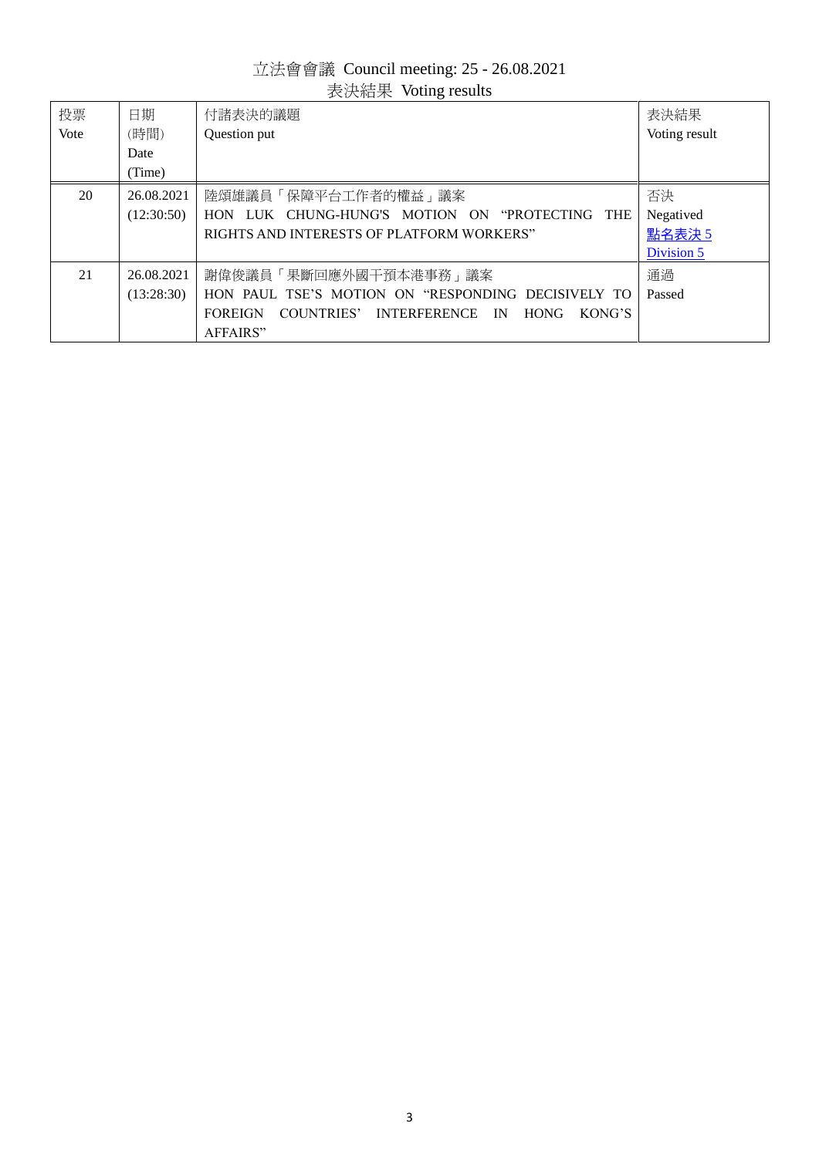# 立法會會議 Council meeting: 25 - 26.08.2021 ……<br>表決結果 Voting results

<span id="page-2-0"></span>

| 投票   | 日期         | 付諸表決的議題                                                                         | 表決結果          |
|------|------------|---------------------------------------------------------------------------------|---------------|
| Vote | (時間)       | Question put                                                                    | Voting result |
|      | Date       |                                                                                 |               |
|      | (Time)     |                                                                                 |               |
| 20   | 26.08.2021 | 陸頌雄議員「保障平台工作者的權益」議案                                                             | 否決            |
|      | (12:30:50) | HON LUK CHUNG-HUNG'S MOTION ON "PROTECTING THE                                  | Negatived     |
|      |            | RIGHTS AND INTERESTS OF PLATFORM WORKERS"                                       | 點名表決 5        |
|      |            |                                                                                 | Division 5    |
| 21   | 26.08.2021 | 謝偉俊議員「果斷回應外國干預本港事務」議案                                                           | 通過            |
|      | (13:28:30) | HON PAUL TSE'S MOTION ON "RESPONDING DECISIVELY TO                              | Passed        |
|      |            | COUNTRIES' INTERFERENCE<br><b>FOREIGN</b><br><b>HONG</b><br>KONG'S<br><b>IN</b> |               |
|      |            | AFFAIRS"                                                                        |               |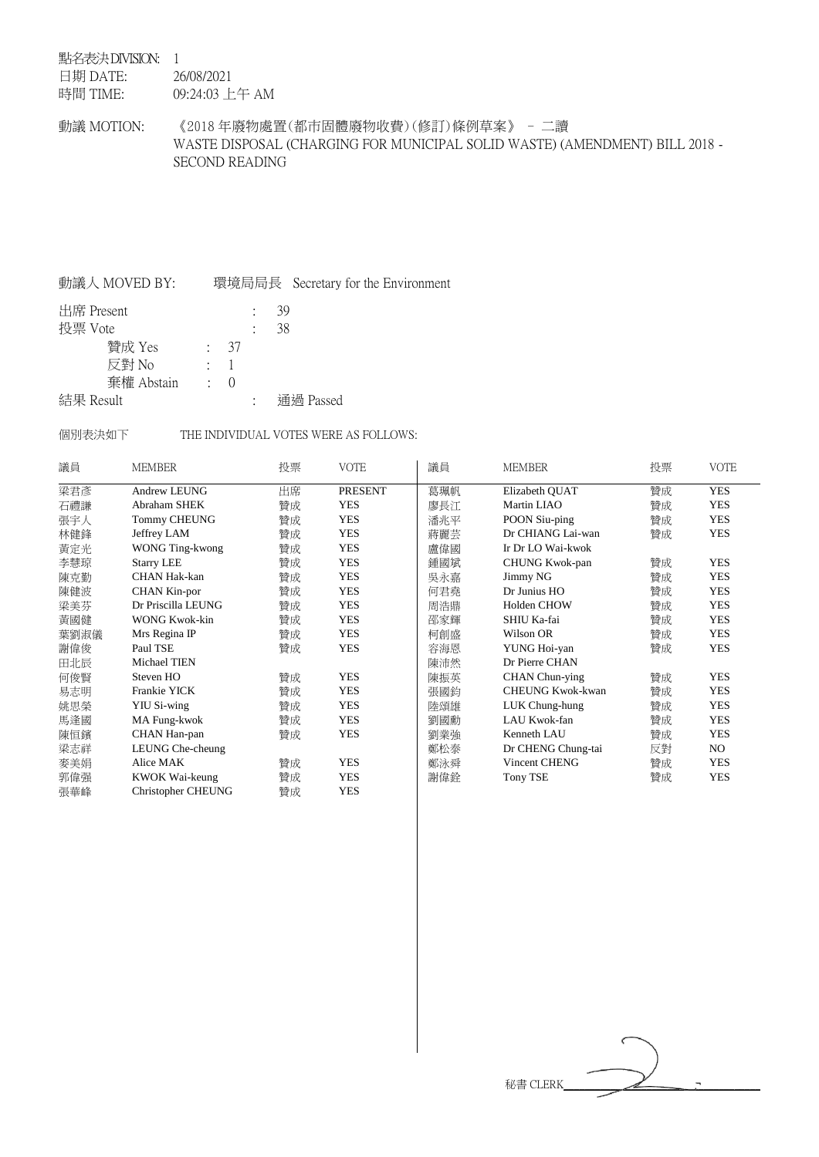### <span id="page-3-0"></span>點名表決 DIVISION: 1

日期 DATE: 時間 TIME: 26/08/2021 09:24:03 上午 AM

動議 MOTION: 《2018 年廢物處置(都市固體廢物收費)(修訂)條例草案》 - 二讀 WASTE DISPOSAL (CHARGING FOR MUNICIPAL SOLID WASTE) (AMENDMENT) BILL 2018 - SECOND READING

## 動議人 MOVED BY: 環境局局長 Secretary for the Environment

| 出席 Present |            |          |            | -39       |
|------------|------------|----------|------------|-----------|
| 投票 Vote    |            |          |            | 38        |
|            | 贊成 Yes     |          | $\cdot$ 37 |           |
|            | 反對 No      | $\sim$ 1 |            |           |
|            | 棄權 Abstain |          | $\cdot$ () |           |
| 結果 Result  |            |          |            | 通過 Passed |

### 個別表決如下 THE INDIVIDUAL VOTES WERE AS FOLLOWS:

| 議員   | <b>MEMBER</b>             | 投票 | <b>VOTE</b>    | 議員  | <b>MEMBER</b>           | 投票 | <b>VOTE</b> |
|------|---------------------------|----|----------------|-----|-------------------------|----|-------------|
| 梁君彥  | Andrew LEUNG              | 出席 | <b>PRESENT</b> | 葛珮帆 | Elizabeth QUAT          | 贊成 | <b>YES</b>  |
| 石禮謙  | Abraham SHEK              | 贊成 | <b>YES</b>     | 廖長江 | Martin LIAO             | 贊成 | <b>YES</b>  |
| 張宇人  | <b>Tommy CHEUNG</b>       | 贊成 | <b>YES</b>     | 潘兆平 | POON Siu-ping           | 贊成 | <b>YES</b>  |
| 林健鋒  | Jeffrey LAM               | 贊成 | <b>YES</b>     | 蔣麗芸 | Dr CHIANG Lai-wan       | 贊成 | <b>YES</b>  |
| 黃定光  | WONG Ting-kwong           | 贊成 | <b>YES</b>     | 盧偉國 | Ir Dr LO Wai-kwok       |    |             |
| 李慧琼  | <b>Starry LEE</b>         | 贊成 | <b>YES</b>     | 鍾國斌 | CHUNG Kwok-pan          | 贊成 | <b>YES</b>  |
| 陳克勤  | CHAN Hak-kan              | 贊成 | <b>YES</b>     | 吳永嘉 | Jimmy NG                | 贊成 | <b>YES</b>  |
| 陳健波  | CHAN Kin-por              | 贊成 | <b>YES</b>     | 何君堯 | Dr Junius HO            | 贊成 | <b>YES</b>  |
| 梁美芬  | Dr Priscilla LEUNG        | 贊成 | <b>YES</b>     | 周浩鼎 | Holden CHOW             | 贊成 | <b>YES</b>  |
| 黃國健  | WONG Kwok-kin             | 贊成 | <b>YES</b>     | 邵家輝 | SHIU Ka-fai             | 贊成 | <b>YES</b>  |
| 葉劉淑儀 | Mrs Regina IP             | 贊成 | <b>YES</b>     | 柯創盛 | Wilson OR               | 贊成 | <b>YES</b>  |
| 謝偉俊  | Paul TSE                  | 贊成 | <b>YES</b>     | 容海恩 | YUNG Hoi-yan            | 贊成 | <b>YES</b>  |
| 田北辰  | Michael TIEN              |    |                | 陳沛然 | Dr Pierre CHAN          |    |             |
| 何俊賢  | Steven HO                 | 贊成 | <b>YES</b>     | 陳振英 | CHAN Chun-ying          | 贊成 | <b>YES</b>  |
| 易志明  | Frankie YICK              | 贊成 | <b>YES</b>     | 張國鈞 | <b>CHEUNG Kwok-kwan</b> | 贊成 | <b>YES</b>  |
| 姚思榮  | <b>YIU Si-wing</b>        | 贊成 | <b>YES</b>     | 陸頌雄 | LUK Chung-hung          | 贊成 | <b>YES</b>  |
| 馬逢國  | MA Fung-kwok              | 贊成 | <b>YES</b>     | 劉國勳 | LAU Kwok-fan            | 贊成 | <b>YES</b>  |
| 陳恒鑌  | CHAN Han-pan              | 贊成 | <b>YES</b>     | 劉業強 | Kenneth LAU             | 贊成 | <b>YES</b>  |
| 梁志祥  | LEUNG Che-cheung          |    |                | 鄭松泰 | Dr CHENG Chung-tai      | 反對 | NO.         |
| 麥美娟  | Alice MAK                 | 贊成 | <b>YES</b>     | 鄭泳舜 | Vincent CHENG           | 贊成 | <b>YES</b>  |
| 郭偉强  | KWOK Wai-keung            | 贊成 | <b>YES</b>     | 謝偉銓 | <b>Tony TSE</b>         | 贊成 | <b>YES</b>  |
| 張華峰  | <b>Christopher CHEUNG</b> | 贊成 | <b>YES</b>     |     |                         |    |             |

秘書 CLERK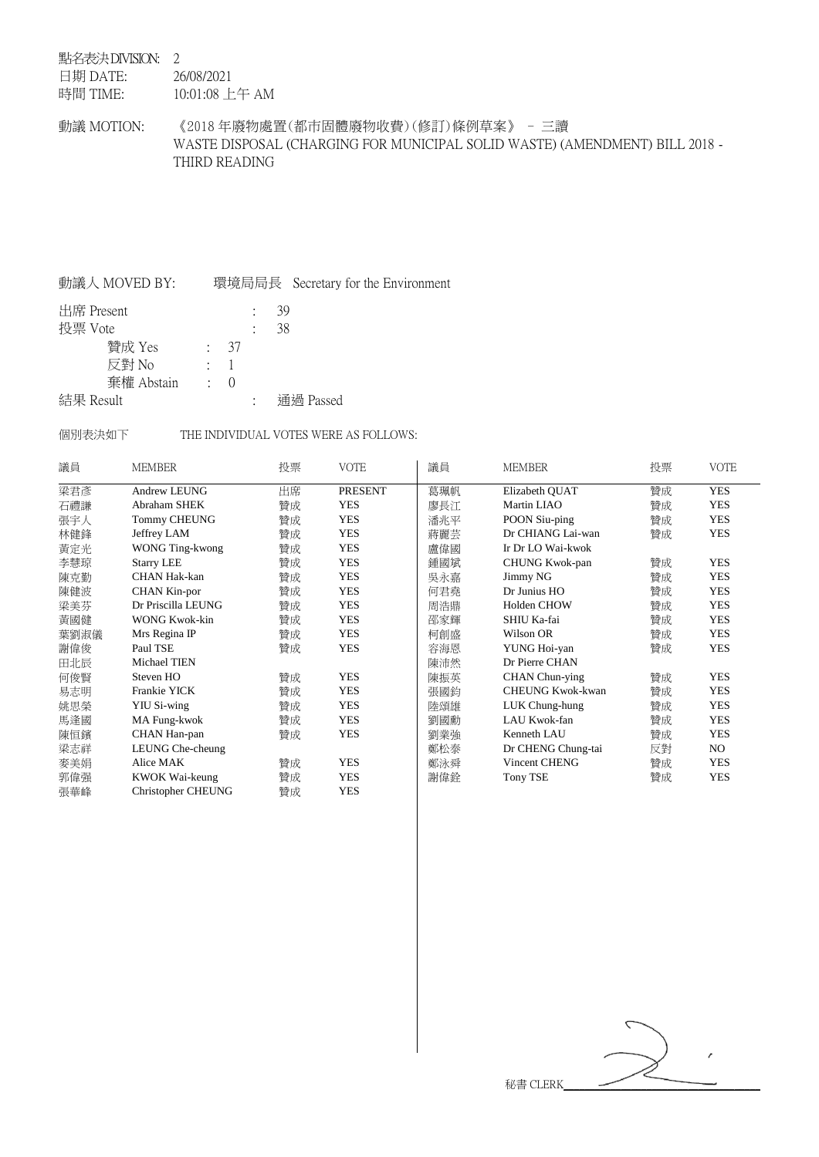### <span id="page-4-0"></span>點名表決 DIVISION: 2

日期 DATE: 26/08/2021

時間 TIME: 10:01:08 上午 AM

動議 MOTION: 《2018 年廢物處置(都市固體廢物收費)(修訂)條例草案》 - 三讀 WASTE DISPOSAL (CHARGING FOR MUNICIPAL SOLID WASTE) (AMENDMENT) BILL 2018 - THIRD READING

## 動議人 MOVED BY: 環境局局長 Secretary for the Environment

| 出席 Present |            |                  | 39 |           |
|------------|------------|------------------|----|-----------|
| 投票 Vote    |            |                  | 38 |           |
|            | 贊成 Yes     | $\frac{1}{2}$ 37 |    |           |
|            | 反對 No      | $\cdot$ 1        |    |           |
|            | 棄權 Abstain | $\cdot$ ()       |    |           |
| 結果 Result  |            |                  |    | 通過 Passed |

### 個別表決如下 THE INDIVIDUAL VOTES WERE AS FOLLOWS:

| 議員   | <b>MEMBER</b>             | 投票 | <b>VOTE</b>    | 議員  | <b>MEMBER</b>           | 投票 | <b>VOTE</b> |
|------|---------------------------|----|----------------|-----|-------------------------|----|-------------|
| 梁君彥  | Andrew LEUNG              | 出席 | <b>PRESENT</b> | 葛珮帆 | Elizabeth QUAT          | 贊成 | <b>YES</b>  |
| 石禮謙  | Abraham SHEK              | 贊成 | <b>YES</b>     | 廖長江 | Martin LIAO             | 贊成 | <b>YES</b>  |
| 張宇人  | <b>Tommy CHEUNG</b>       | 贊成 | <b>YES</b>     | 潘兆平 | POON Siu-ping           | 贊成 | <b>YES</b>  |
| 林健鋒  | Jeffrey LAM               | 贊成 | <b>YES</b>     | 蔣麗芸 | Dr CHIANG Lai-wan       | 贊成 | <b>YES</b>  |
| 黃定光  | WONG Ting-kwong           | 贊成 | <b>YES</b>     | 盧偉國 | Ir Dr LO Wai-kwok       |    |             |
| 李慧琼  | <b>Starry LEE</b>         | 贊成 | <b>YES</b>     | 鍾國斌 | CHUNG Kwok-pan          | 贊成 | <b>YES</b>  |
| 陳克勤  | CHAN Hak-kan              | 贊成 | <b>YES</b>     | 吳永嘉 | Jimmy NG                | 贊成 | <b>YES</b>  |
| 陳健波  | CHAN Kin-por              | 贊成 | <b>YES</b>     | 何君堯 | Dr Junius HO            | 贊成 | <b>YES</b>  |
| 梁美芬  | Dr Priscilla LEUNG        | 贊成 | <b>YES</b>     | 周浩鼎 | Holden CHOW             | 贊成 | <b>YES</b>  |
| 黃國健  | WONG Kwok-kin             | 贊成 | <b>YES</b>     | 邵家輝 | SHIU Ka-fai             | 贊成 | <b>YES</b>  |
| 葉劉淑儀 | Mrs Regina IP             | 贊成 | <b>YES</b>     | 柯創盛 | Wilson OR               | 贊成 | <b>YES</b>  |
| 謝偉俊  | Paul TSE                  | 贊成 | <b>YES</b>     | 容海恩 | YUNG Hoi-yan            | 贊成 | <b>YES</b>  |
| 田北辰  | Michael TIEN              |    |                | 陳沛然 | Dr Pierre CHAN          |    |             |
| 何俊賢  | Steven HO                 | 贊成 | <b>YES</b>     | 陳振英 | CHAN Chun-ying          | 贊成 | <b>YES</b>  |
| 易志明  | Frankie YICK              | 贊成 | <b>YES</b>     | 張國鈞 | <b>CHEUNG Kwok-kwan</b> | 贊成 | <b>YES</b>  |
| 姚思榮  | <b>YIU Si-wing</b>        | 贊成 | <b>YES</b>     | 陸頌雄 | LUK Chung-hung          | 贊成 | <b>YES</b>  |
| 馬逢國  | MA Fung-kwok              | 贊成 | <b>YES</b>     | 劉國勳 | LAU Kwok-fan            | 贊成 | <b>YES</b>  |
| 陳恒鑌  | CHAN Han-pan              | 贊成 | <b>YES</b>     | 劉業強 | Kenneth LAU             | 贊成 | <b>YES</b>  |
| 梁志祥  | LEUNG Che-cheung          |    |                | 鄭松泰 | Dr CHENG Chung-tai      | 反對 | NO.         |
| 麥美娟  | Alice MAK                 | 贊成 | <b>YES</b>     | 鄭泳舜 | Vincent CHENG           | 贊成 | <b>YES</b>  |
| 郭偉强  | KWOK Wai-keung            | 贊成 | <b>YES</b>     | 謝偉銓 | <b>Tony TSE</b>         | 贊成 | <b>YES</b>  |
| 張華峰  | <b>Christopher CHEUNG</b> | 贊成 | <b>YES</b>     |     |                         |    |             |

秘書 CLERK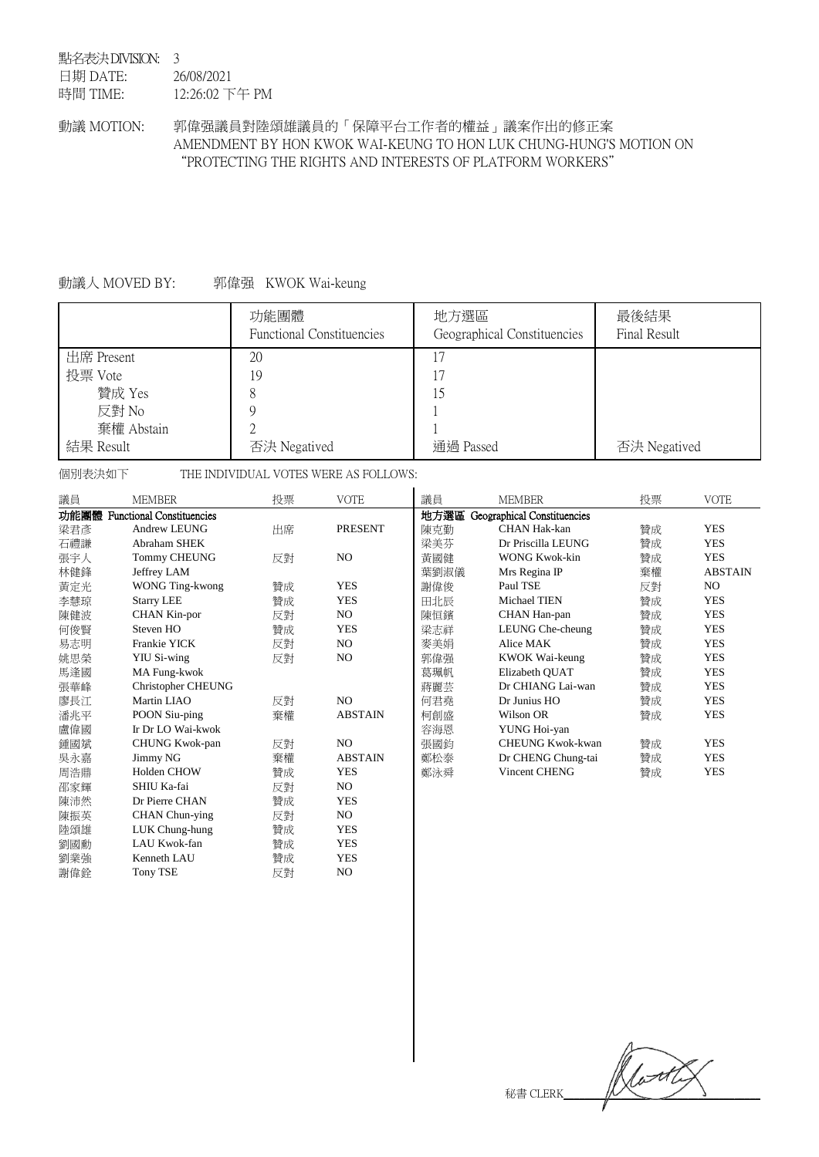#### <span id="page-5-0"></span>點名表決 DIVISION: 3 日期 DATE: 時間 TIME: 26/08/2021 12:26:02 下午 PM

動議 MOTION: 郭偉强議員對陸頌雄議員的「保障平台工作者的權益」議案作出的修正案 AMENDMENT BY HON KWOK WAI-KEUNG TO HON LUK CHUNG-HUNG'S MOTION ON "PROTECTING THE RIGHTS AND INTERESTS OF PLATFORM WORKERS"

# 動議人 MOVED BY: 郭偉强 KWOK Wai-keung

|            | 功能團體<br><b>Functional Constituencies</b> | 地方選區<br>Geographical Constituencies | 最後結果<br>Final Result |
|------------|------------------------------------------|-------------------------------------|----------------------|
| 出席 Present | 20                                       | 17                                  |                      |
| 投票 Vote    | 19                                       | 17                                  |                      |
| 贊成 Yes     |                                          | 15                                  |                      |
| 反對 No      |                                          |                                     |                      |
| 棄權 Abstain |                                          |                                     |                      |
| 結果 Result  | 否決 Negatived                             | 通過 Passed                           | 否決 Negatived         |

個別表決如下 THE INDIVIDUAL VOTES WERE AS FOLLOWS:

| 議員   | <b>MEMBER</b>                    | 投票 | <b>VOTE</b>    | 議員   | <b>MEMBER</b>               | 投票 | <b>VOTE</b>    |
|------|----------------------------------|----|----------------|------|-----------------------------|----|----------------|
| 功能團體 | <b>Functional Constituencies</b> |    |                | 地方選區 | Geographical Constituencies |    |                |
| 梁君彥  | Andrew LEUNG                     | 出席 | <b>PRESENT</b> | 陳克勤  | <b>CHAN Hak-kan</b>         | 贊成 | <b>YES</b>     |
| 石禮謙  | Abraham SHEK                     |    |                | 梁美芬  | Dr Priscilla LEUNG          | 贊成 | <b>YES</b>     |
| 張宇人  | <b>Tommy CHEUNG</b>              | 反對 | N <sub>O</sub> | 黃國健  | <b>WONG Kwok-kin</b>        | 贊成 | <b>YES</b>     |
| 林健鋒  | Jeffrey LAM                      |    |                | 葉劉淑儀 | Mrs Regina IP               | 棄權 | <b>ABSTAIN</b> |
| 黃定光  | WONG Ting-kwong                  | 贊成 | <b>YES</b>     | 謝偉俊  | Paul TSE                    | 反對 | NO.            |
| 李慧琼  | <b>Starry LEE</b>                | 贊成 | <b>YES</b>     | 田北辰  | Michael TIEN                | 贊成 | <b>YES</b>     |
| 陳健波  | <b>CHAN Kin-por</b>              | 反對 | NO.            | 陳恒鑌  | CHAN Han-pan                | 贊成 | <b>YES</b>     |
| 何俊賢  | Steven HO                        | 贊成 | <b>YES</b>     | 梁志祥  | LEUNG Che-cheung            | 贊成 | <b>YES</b>     |
| 易志明  | Frankie YICK                     | 反對 | N <sub>O</sub> | 麥美娟  | Alice MAK                   | 贊成 | <b>YES</b>     |
| 姚思榮  | <b>YIU Si-wing</b>               | 反對 | NO.            | 郭偉强  | KWOK Wai-keung              | 贊成 | <b>YES</b>     |
| 馬逢國  | MA Fung-kwok                     |    |                | 葛珮帆  | Elizabeth QUAT              | 贊成 | <b>YES</b>     |
| 張華峰  | <b>Christopher CHEUNG</b>        |    |                | 蔣麗芸  | Dr CHIANG Lai-wan           | 贊成 | <b>YES</b>     |
| 廖長江  | Martin LIAO                      | 反對 | N <sub>O</sub> | 何君堯  | Dr Junius HO                | 贊成 | <b>YES</b>     |
| 潘兆平  | POON Siu-ping                    | 棄權 | <b>ABSTAIN</b> | 柯創盛  | Wilson OR                   | 贊成 | <b>YES</b>     |
| 盧偉國  | Ir Dr LO Wai-kwok                |    |                | 容海恩  | YUNG Hoi-yan                |    |                |
| 鍾國斌  | CHUNG Kwok-pan                   | 反對 | N <sub>O</sub> | 張國鈞  | <b>CHEUNG Kwok-kwan</b>     | 贊成 | <b>YES</b>     |
| 吳永嘉  | Jimmy NG                         | 棄權 | <b>ABSTAIN</b> | 鄭松泰  | Dr CHENG Chung-tai          | 贊成 | <b>YES</b>     |
| 周浩鼎  | <b>Holden CHOW</b>               | 贊成 | <b>YES</b>     | 鄭泳舜  | <b>Vincent CHENG</b>        | 贊成 | <b>YES</b>     |
| 邵家輝  | SHIU Ka-fai                      | 反對 | NO.            |      |                             |    |                |
| 陳沛然  | Dr Pierre CHAN                   | 贊成 | <b>YES</b>     |      |                             |    |                |
| 陳振英  | CHAN Chun-ying                   | 反對 | NO.            |      |                             |    |                |
| 陸頌雄  | LUK Chung-hung                   | 贊成 | <b>YES</b>     |      |                             |    |                |
| 劉國勳  | LAU Kwok-fan                     | 贊成 | <b>YES</b>     |      |                             |    |                |
| 劉業強  | Kenneth LAU                      | 贊成 | <b>YES</b>     |      |                             |    |                |
| 謝偉銓  | Tony TSE                         | 反對 | NO.            |      |                             |    |                |

with 秘書 CLERK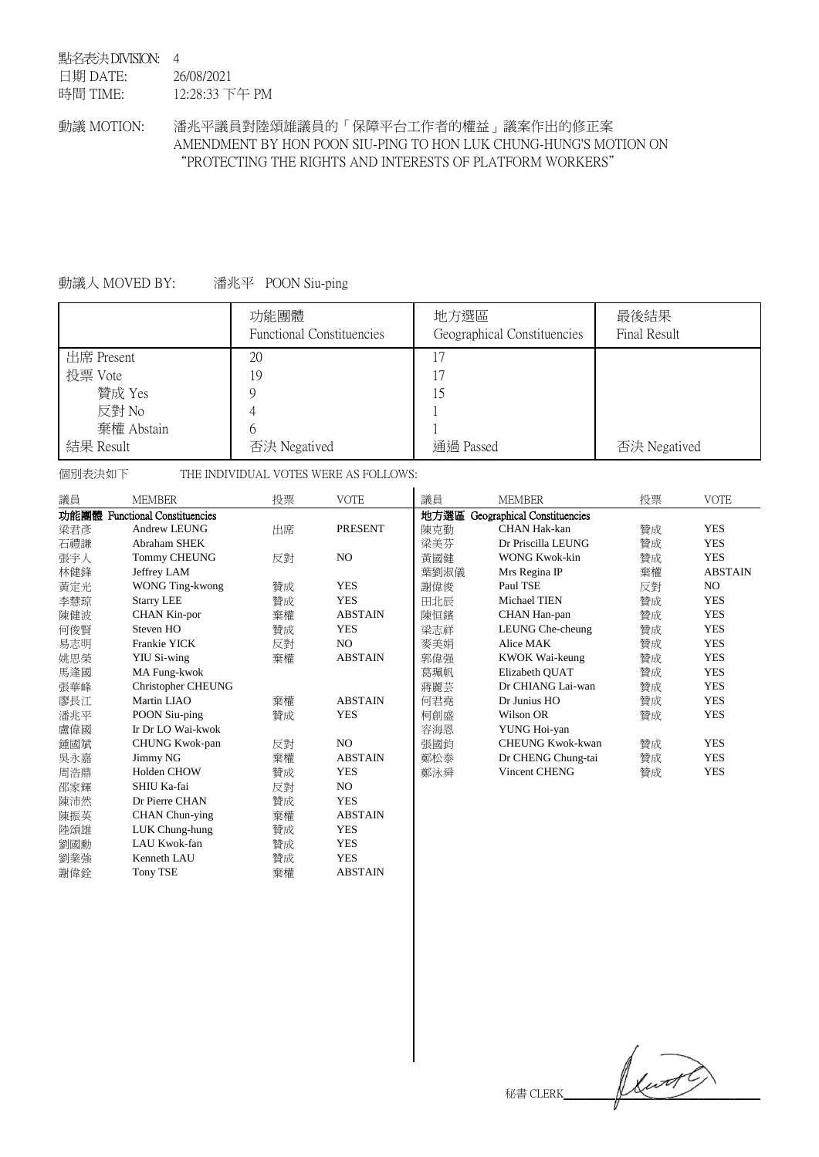#### <span id="page-6-0"></span>點名表決 DIVISION: 4 日期 DATE: 時間 TIME: 26/08/2021 12:28:33 下午 PM

# 動議 MOTION: 潘兆平議員對陸頌雄議員的「保障平台工作者的權益」議案作出的修正案 AMENDMENT BY HON POON SIU-PING TO HON LUK CHUNG-HUNG'S MOTION ON "PROTECTING THE RIGHTS AND INTERESTS OF PLATFORM WORKERS"

# 動議人 MOVED BY: 潘兆平 POON Siu-ping

|            | 功能團體<br><b>Functional Constituencies</b> | 地方選區<br>Geographical Constituencies | 最後結果<br>Final Result |
|------------|------------------------------------------|-------------------------------------|----------------------|
| 出席 Present | 20                                       | 17                                  |                      |
| 投票 Vote    | 19                                       | 17                                  |                      |
| 贊成 Yes     |                                          | 15                                  |                      |
| 反對 No      |                                          |                                     |                      |
| 棄權 Abstain | b                                        |                                     |                      |
| 結果 Result  | 否決 Negatived                             | 通過 Passed                           | 否決 Negatived         |

個別表決如下 THE INDIVIDUAL VOTES WERE AS FOLLOWS:

| 議員   | <b>MEMBER</b>                    | 投票 | <b>VOTE</b>    | 議員   | <b>MEMBER</b>               | 投票 | <b>VOTE</b>    |
|------|----------------------------------|----|----------------|------|-----------------------------|----|----------------|
| 功能團體 | <b>Functional Constituencies</b> |    |                | 地方選區 | Geographical Constituencies |    |                |
| 梁君彥  | Andrew LEUNG                     | 出席 | <b>PRESENT</b> | 陳克勤  | <b>CHAN Hak-kan</b>         | 贊成 | <b>YES</b>     |
| 石禮謙  | Abraham SHEK                     |    |                | 梁美芬  | Dr Priscilla LEUNG          | 贊成 | <b>YES</b>     |
| 張宇人  | <b>Tommy CHEUNG</b>              | 反對 | NO             | 黃國健  | <b>WONG Kwok-kin</b>        | 贊成 | <b>YES</b>     |
| 林健鋒  | Jeffrey LAM                      |    |                | 葉劉淑儀 | Mrs Regina IP               | 棄權 | <b>ABSTAIN</b> |
| 黃定光  | WONG Ting-kwong                  | 贊成 | <b>YES</b>     | 謝偉俊  | Paul TSE                    | 反對 | NO.            |
| 李慧琼  | <b>Starry LEE</b>                | 贊成 | <b>YES</b>     | 田北辰  | Michael TIEN                | 贊成 | <b>YES</b>     |
| 陳健波  | CHAN Kin-por                     | 棄權 | <b>ABSTAIN</b> | 陳恒鑌  | CHAN Han-pan                | 贊成 | <b>YES</b>     |
| 何俊賢  | Steven HO                        | 贊成 | <b>YES</b>     | 梁志祥  | LEUNG Che-cheung            | 贊成 | <b>YES</b>     |
| 易志明  | Frankie YICK                     | 反對 | NO.            | 麥美娟  | Alice MAK                   | 贊成 | <b>YES</b>     |
| 姚思榮  | <b>YIU Si-wing</b>               | 棄權 | <b>ABSTAIN</b> | 郭偉强  | KWOK Wai-keung              | 贊成 | <b>YES</b>     |
| 馬逢國  | MA Fung-kwok                     |    |                | 葛珮帆  | Elizabeth QUAT              | 贊成 | <b>YES</b>     |
| 張華峰  | <b>Christopher CHEUNG</b>        |    |                | 蔣麗芸  | Dr CHIANG Lai-wan           | 贊成 | <b>YES</b>     |
| 廖長江  | Martin LIAO                      | 棄權 | <b>ABSTAIN</b> | 何君堯  | Dr Junius HO                | 贊成 | <b>YES</b>     |
| 潘兆平  | POON Siu-ping                    | 贊成 | <b>YES</b>     | 柯創盛  | Wilson OR                   | 贊成 | <b>YES</b>     |
| 盧偉國  | Ir Dr LO Wai-kwok                |    |                | 容海恩  | YUNG Hoi-yan                |    |                |
| 鍾國斌  | CHUNG Kwok-pan                   | 反對 | NO.            | 張國鈞  | <b>CHEUNG Kwok-kwan</b>     | 贊成 | <b>YES</b>     |
| 吳永嘉  | Jimmy NG                         | 棄權 | <b>ABSTAIN</b> | 鄭松泰  | Dr CHENG Chung-tai          | 贊成 | <b>YES</b>     |
| 周浩鼎  | <b>Holden CHOW</b>               | 贊成 | <b>YES</b>     | 鄭泳舜  | Vincent CHENG               | 贊成 | <b>YES</b>     |
| 邵家輝  | SHIU Ka-fai                      | 反對 | NO.            |      |                             |    |                |
| 陳沛然  | Dr Pierre CHAN                   | 贊成 | <b>YES</b>     |      |                             |    |                |
| 陳振英  | CHAN Chun-ying                   | 棄權 | <b>ABSTAIN</b> |      |                             |    |                |
| 陸頌雄  | LUK Chung-hung                   | 贊成 | <b>YES</b>     |      |                             |    |                |
| 劉國勳  | LAU Kwok-fan                     | 贊成 | <b>YES</b>     |      |                             |    |                |
| 劉業強  | Kenneth LAU                      | 贊成 | <b>YES</b>     |      |                             |    |                |
| 謝偉銓  | <b>Tony TSE</b>                  | 棄權 | <b>ABSTAIN</b> |      |                             |    |                |

 $\mathbb{R}^*$  CLERK $\mathbb{R}$